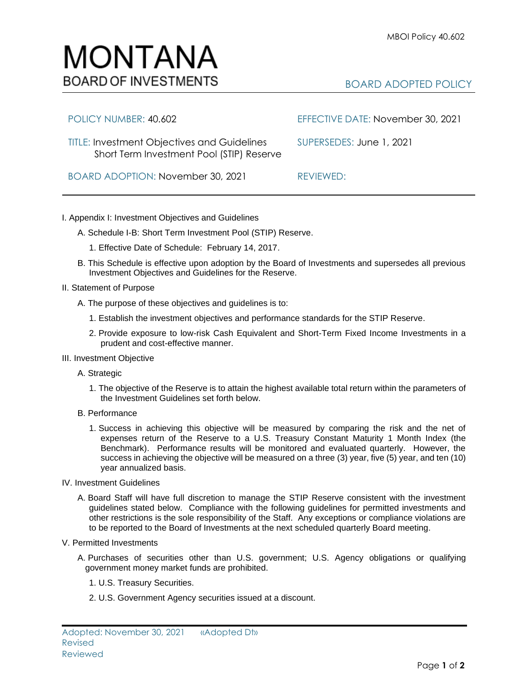## MONTANA **BOARD OF INVESTMENTS**

## BOARD ADOPTED POLICY

| POLICY NUMBER: 40.602                                                                           | EFFECTIVE DATE: November 30, 2021 |
|-------------------------------------------------------------------------------------------------|-----------------------------------|
| <b>TITLE: Investment Objectives and Guidelines</b><br>Short Term Investment Pool (STIP) Reserve | SUPERSEDES: June 1, 2021          |
| BOARD ADOPTION: November 30, 2021                                                               | REVIEWED:                         |

## I. Appendix I: Investment Objectives and Guidelines

- A. Schedule I-B: Short Term Investment Pool (STIP) Reserve.
	- 1. Effective Date of Schedule: February 14, 2017.
- B. This Schedule is effective upon adoption by the Board of Investments and supersedes all previous Investment Objectives and Guidelines for the Reserve.
- II. Statement of Purpose
	- A. The purpose of these objectives and guidelines is to:
		- 1. Establish the investment objectives and performance standards for the STIP Reserve.
		- 2. Provide exposure to low-risk Cash Equivalent and Short-Term Fixed Income Investments in a prudent and cost-effective manner.
- III. Investment Objective
	- A. Strategic
		- 1. The objective of the Reserve is to attain the highest available total return within the parameters of the Investment Guidelines set forth below.
	- B. Performance
		- 1. Success in achieving this objective will be measured by comparing the risk and the net of expenses return of the Reserve to a U.S. Treasury Constant Maturity 1 Month Index (the Benchmark). Performance results will be monitored and evaluated quarterly. However, the success in achieving the objective will be measured on a three (3) year, five (5) year, and ten (10) year annualized basis.
- IV. Investment Guidelines
	- A. Board Staff will have full discretion to manage the STIP Reserve consistent with the investment guidelines stated below. Compliance with the following guidelines for permitted investments and other restrictions is the sole responsibility of the Staff. Any exceptions or compliance violations are to be reported to the Board of Investments at the next scheduled quarterly Board meeting.
- V. Permitted Investments
	- A. Purchases of securities other than U.S. government; U.S. Agency obligations or qualifying government money market funds are prohibited.
		- 1. U.S. Treasury Securities.
		- 2. U.S. Government Agency securities issued at a discount.